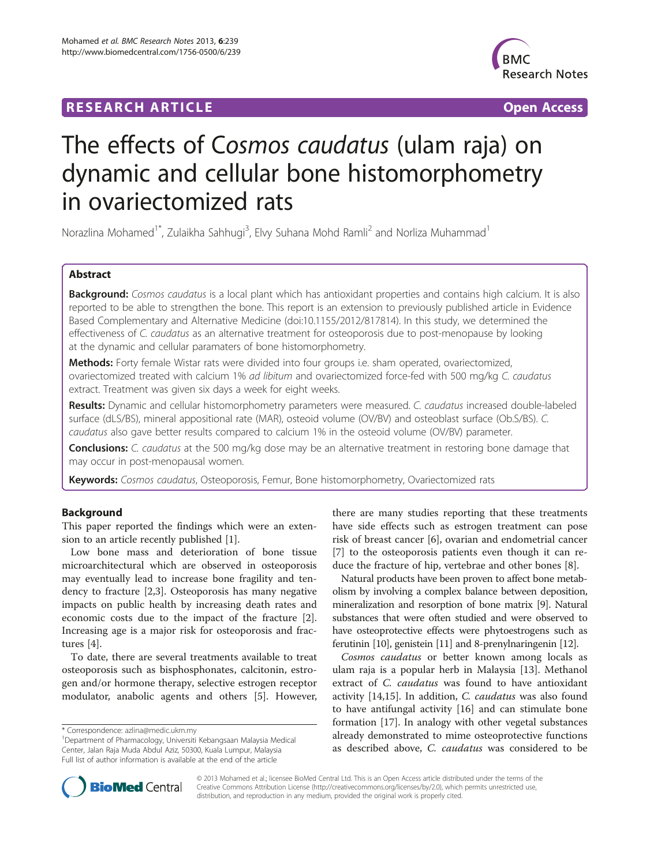## **RESEARCH ARTICLE Example 2018 12:00 Department of the CONNECTION CONNECTION CONNECTION CONNECTION**



# The effects of Cosmos caudatus (ulam raja) on dynamic and cellular bone histomorphometry in ovariectomized rats

Norazlina Mohamed<sup>1\*</sup>, Zulaikha Sahhugi<sup>3</sup>, Elvy Suhana Mohd Ramli<sup>2</sup> and Norliza Muhammad<sup>1</sup>

## Abstract

Background: Cosmos caudatus is a local plant which has antioxidant properties and contains high calcium. It is also reported to be able to strengthen the bone. This report is an extension to previously published article in Evidence Based Complementary and Alternative Medicine (doi:10.1155/2012/817814). In this study, we determined the effectiveness of C. caudatus as an alternative treatment for osteoporosis due to post-menopause by looking at the dynamic and cellular paramaters of bone histomorphometry.

Methods: Forty female Wistar rats were divided into four groups i.e. sham operated, ovariectomized, ovariectomized treated with calcium 1% ad libitum and ovariectomized force-fed with 500 mg/kg C. caudatus extract. Treatment was given six days a week for eight weeks.

Results: Dynamic and cellular histomorphometry parameters were measured. C. caudatus increased double-labeled surface (dLS/BS), mineral appositional rate (MAR), osteoid volume (OV/BV) and osteoblast surface (Ob.S/BS). C. caudatus also gave better results compared to calcium 1% in the osteoid volume (OV/BV) parameter.

Conclusions: C. caudatus at the 500 mg/kg dose may be an alternative treatment in restoring bone damage that may occur in post-menopausal women.

Keywords: Cosmos caudatus, Osteoporosis, Femur, Bone histomorphometry, Ovariectomized rats

## Background

This paper reported the findings which were an extension to an article recently published [[1\]](#page-4-0).

Low bone mass and deterioration of bone tissue microarchitectural which are observed in osteoporosis may eventually lead to increase bone fragility and tendency to fracture [\[2,3](#page-4-0)]. Osteoporosis has many negative impacts on public health by increasing death rates and economic costs due to the impact of the fracture [\[2](#page-4-0)]. Increasing age is a major risk for osteoporosis and fractures [\[4](#page-4-0)].

To date, there are several treatments available to treat osteoporosis such as bisphosphonates, calcitonin, estrogen and/or hormone therapy, selective estrogen receptor modulator, anabolic agents and others [[5\]](#page-4-0). However,

there are many studies reporting that these treatments have side effects such as estrogen treatment can pose risk of breast cancer [[6\]](#page-4-0), ovarian and endometrial cancer [[7\]](#page-4-0) to the osteoporosis patients even though it can reduce the fracture of hip, vertebrae and other bones [[8](#page-4-0)].

Natural products have been proven to affect bone metabolism by involving a complex balance between deposition, mineralization and resorption of bone matrix [\[9\]](#page-4-0). Natural substances that were often studied and were observed to have osteoprotective effects were phytoestrogens such as ferutinin [\[10](#page-4-0)], genistein [\[11\]](#page-4-0) and 8-prenylnaringenin [[12](#page-4-0)].

Cosmos caudatus or better known among locals as ulam raja is a popular herb in Malaysia [[13\]](#page-4-0). Methanol extract of *C. caudatus* was found to have antioxidant activity [[14,15](#page-4-0)]. In addition, C. caudatus was also found to have antifungal activity [[16\]](#page-4-0) and can stimulate bone formation [[17\]](#page-4-0). In analogy with other vegetal substances already demonstrated to mime osteoprotective functions as described above, C. caudatus was considered to be



© 2013 Mohamed et al.; licensee BioMed Central Ltd. This is an Open Access article distributed under the terms of the Creative Commons Attribution License (<http://creativecommons.org/licenses/by/2.0>), which permits unrestricted use, distribution, and reproduction in any medium, provided the original work is properly cited.

<sup>\*</sup> Correspondence: [azlina@medic.ukm.my](mailto:azlina@medic.ukm.my) <sup>1</sup>

Department of Pharmacology, Universiti Kebangsaan Malaysia Medical Center, Jalan Raja Muda Abdul Aziz, 50300, Kuala Lumpur, Malaysia Full list of author information is available at the end of the article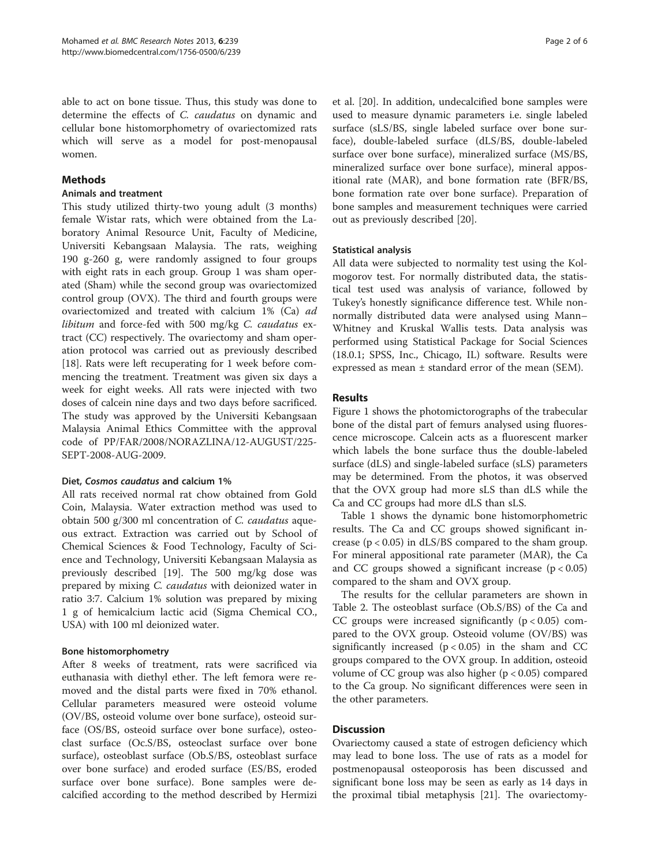able to act on bone tissue. Thus, this study was done to determine the effects of C. caudatus on dynamic and cellular bone histomorphometry of ovariectomized rats which will serve as a model for post-menopausal women.

## **Methods**

#### Animals and treatment

This study utilized thirty-two young adult (3 months) female Wistar rats, which were obtained from the Laboratory Animal Resource Unit, Faculty of Medicine, Universiti Kebangsaan Malaysia. The rats, weighing 190 g-260 g, were randomly assigned to four groups with eight rats in each group. Group 1 was sham operated (Sham) while the second group was ovariectomized control group (OVX). The third and fourth groups were ovariectomized and treated with calcium 1% (Ca) ad libitum and force-fed with 500 mg/kg C. caudatus extract (CC) respectively. The ovariectomy and sham operation protocol was carried out as previously described [[18\]](#page-4-0). Rats were left recuperating for 1 week before commencing the treatment. Treatment was given six days a week for eight weeks. All rats were injected with two doses of calcein nine days and two days before sacrificed. The study was approved by the Universiti Kebangsaan Malaysia Animal Ethics Committee with the approval code of PP/FAR/2008/NORAZLINA/12-AUGUST/225- SEPT-2008-AUG-2009.

## Diet, Cosmos caudatus and calcium 1%

All rats received normal rat chow obtained from Gold Coin, Malaysia. Water extraction method was used to obtain 500 g/300 ml concentration of C. caudatus aqueous extract. Extraction was carried out by School of Chemical Sciences & Food Technology, Faculty of Science and Technology, Universiti Kebangsaan Malaysia as previously described [[19\]](#page-4-0). The 500 mg/kg dose was prepared by mixing C. caudatus with deionized water in ratio 3:7. Calcium 1% solution was prepared by mixing 1 g of hemicalcium lactic acid (Sigma Chemical CO., USA) with 100 ml deionized water.

## Bone histomorphometry

After 8 weeks of treatment, rats were sacrificed via euthanasia with diethyl ether. The left femora were removed and the distal parts were fixed in 70% ethanol. Cellular parameters measured were osteoid volume (OV/BS, osteoid volume over bone surface), osteoid surface (OS/BS, osteoid surface over bone surface), osteoclast surface (Oc.S/BS, osteoclast surface over bone surface), osteoblast surface (Ob.S/BS, osteoblast surface over bone surface) and eroded surface (ES/BS, eroded surface over bone surface). Bone samples were decalcified according to the method described by Hermizi

et al. [[20\]](#page-4-0). In addition, undecalcified bone samples were used to measure dynamic parameters i.e. single labeled surface (sLS/BS, single labeled surface over bone surface), double-labeled surface (dLS/BS, double-labeled surface over bone surface), mineralized surface (MS/BS, mineralized surface over bone surface), mineral appositional rate (MAR), and bone formation rate (BFR/BS, bone formation rate over bone surface). Preparation of bone samples and measurement techniques were carried out as previously described [[20\]](#page-4-0).

## Statistical analysis

All data were subjected to normality test using the Kolmogorov test. For normally distributed data, the statistical test used was analysis of variance, followed by Tukey's honestly significance difference test. While nonnormally distributed data were analysed using Mann– Whitney and Kruskal Wallis tests. Data analysis was performed using Statistical Package for Social Sciences (18.0.1; SPSS, Inc., Chicago, IL) software. Results were expressed as mean ± standard error of the mean (SEM).

## **Results**

Figure [1](#page-2-0) shows the photomictorographs of the trabecular bone of the distal part of femurs analysed using fluorescence microscope. Calcein acts as a fluorescent marker which labels the bone surface thus the double-labeled surface (dLS) and single-labeled surface (sLS) parameters may be determined. From the photos, it was observed that the OVX group had more sLS than dLS while the Ca and CC groups had more dLS than sLS.

Table [1](#page-2-0) shows the dynamic bone histomorphometric results. The Ca and CC groups showed significant increase ( $p < 0.05$ ) in dLS/BS compared to the sham group. For mineral appositional rate parameter (MAR), the Ca and CC groups showed a significant increase  $(p < 0.05)$ compared to the sham and OVX group.

The results for the cellular parameters are shown in Table [2](#page-3-0). The osteoblast surface (Ob.S/BS) of the Ca and CC groups were increased significantly  $(p < 0.05)$  compared to the OVX group. Osteoid volume (OV/BS) was significantly increased  $(p < 0.05)$  in the sham and CC groups compared to the OVX group. In addition, osteoid volume of CC group was also higher  $(p < 0.05)$  compared to the Ca group. No significant differences were seen in the other parameters.

## **Discussion**

Ovariectomy caused a state of estrogen deficiency which may lead to bone loss. The use of rats as a model for postmenopausal osteoporosis has been discussed and significant bone loss may be seen as early as 14 days in the proximal tibial metaphysis [\[21](#page-4-0)]. The ovariectomy-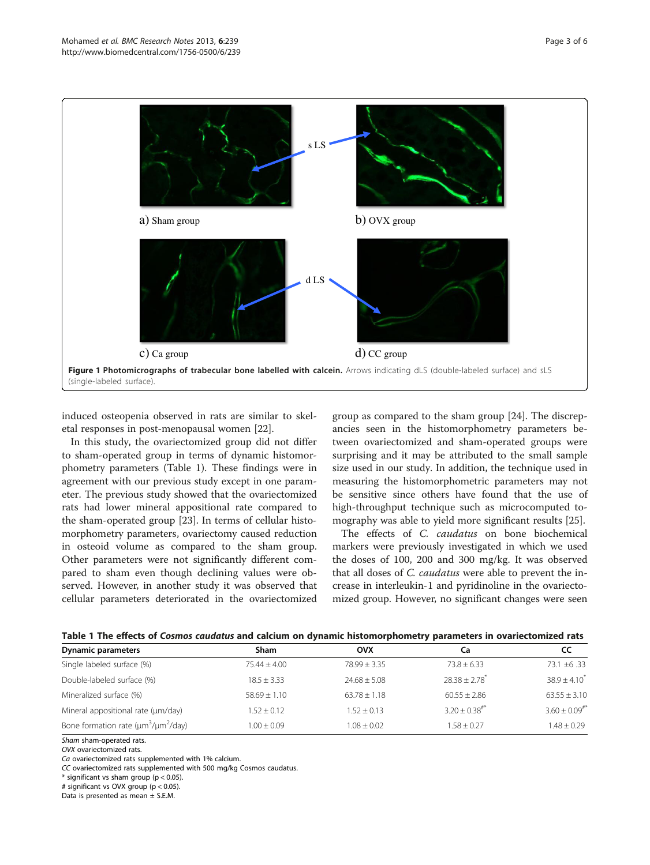<span id="page-2-0"></span>

induced osteopenia observed in rats are similar to skeletal responses in post-menopausal women [\[22\]](#page-4-0).

In this study, the ovariectomized group did not differ to sham-operated group in terms of dynamic histomorphometry parameters (Table 1). These findings were in agreement with our previous study except in one parameter. The previous study showed that the ovariectomized rats had lower mineral appositional rate compared to the sham-operated group [[23\]](#page-4-0). In terms of cellular histomorphometry parameters, ovariectomy caused reduction in osteoid volume as compared to the sham group. Other parameters were not significantly different compared to sham even though declining values were observed. However, in another study it was observed that cellular parameters deteriorated in the ovariectomized group as compared to the sham group [[24](#page-4-0)]. The discrepancies seen in the histomorphometry parameters between ovariectomized and sham-operated groups were surprising and it may be attributed to the small sample size used in our study. In addition, the technique used in measuring the histomorphometric parameters may not be sensitive since others have found that the use of high-throughput technique such as microcomputed tomography was able to yield more significant results [\[25](#page-4-0)].

The effects of C. *caudatus* on bone biochemical markers were previously investigated in which we used the doses of 100, 200 and 300 mg/kg. It was observed that all doses of C. caudatus were able to prevent the increase in interleukin-1 and pyridinoline in the ovariectomized group. However, no significant changes were seen

| Table T The enects of Cosmos caudatus and calcium on dynamic mistomorphonietry parameters in ovariectomized rats |                  |                  |                             |                             |  |  |  |
|------------------------------------------------------------------------------------------------------------------|------------------|------------------|-----------------------------|-----------------------------|--|--|--|
| Dynamic parameters                                                                                               | Sham             | <b>OVX</b>       | Сa                          | CC                          |  |  |  |
| Single labeled surface (%)                                                                                       | $75.44 + 4.00$   | $78.99 + 3.35$   | $73.8 + 6.33$               | $73.1 \pm 6.33$             |  |  |  |
| Double-labeled surface (%)                                                                                       | $18.5 + 3.33$    | $74.68 + 5.08$   | $78.38 + 2.78$ <sup>*</sup> | $38.9 + 4.10^{*}$           |  |  |  |
| Mineralized surface (%)                                                                                          | $58.69 \pm 1.10$ | $63.78 \pm 1.18$ | $60.55 \pm 2.86$            | $63.55 \pm 3.10$            |  |  |  |
| Mineral appositional rate (um/day)                                                                               | $1.52 + 0.12$    | $1.52 + 0.13$    | $3.20 + 0.38$ <sup>#*</sup> | $3.60 + 0.09$ <sup>#*</sup> |  |  |  |
| Bone formation rate ( $\mu$ m <sup>3</sup> / $\mu$ m <sup>2</sup> /day)                                          | $1.00 + 0.09$    | $1.08 + 0.02$    | $1.58 + 0.27$               | $1.48 + 0.29$               |  |  |  |

|  |  |  | Table 1 The effects of Cosmos caudatus and calcium on dynamic histomorphometry parameters in ovariectomized rats |
|--|--|--|------------------------------------------------------------------------------------------------------------------|
|  |  |  |                                                                                                                  |

Sham sham-operated rats.

OVX ovariectomized rats.

Ca ovariectomized rats supplemented with 1% calcium.

CC ovariectomized rats supplemented with 500 mg/kg Cosmos caudatus.

 $*$  significant vs sham group (p < 0.05).

# significant vs OVX group (p < 0.05).

Data is presented as mean ± S.E.M.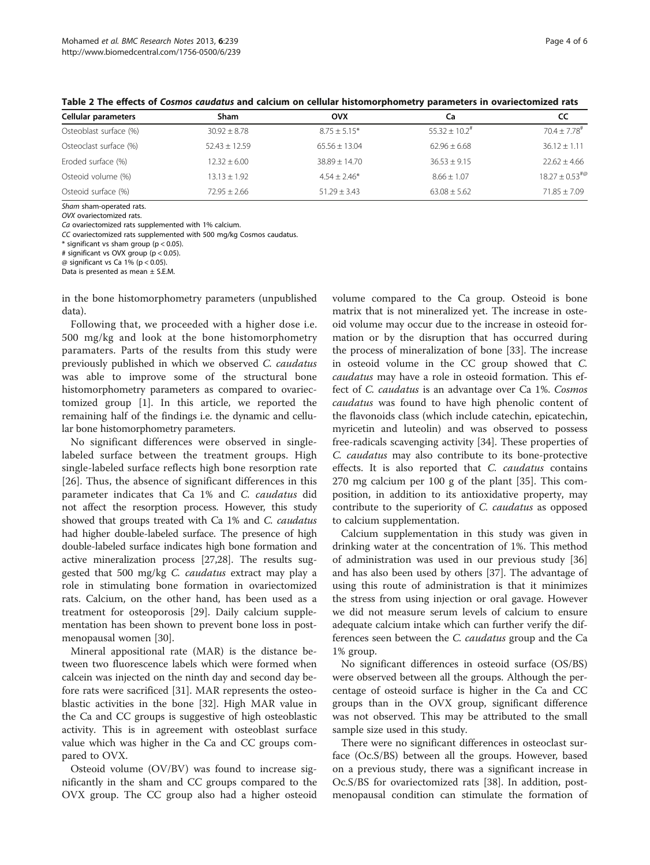| Cellular parameters    | Sham             | ovx               | Сa                            | cc                         |
|------------------------|------------------|-------------------|-------------------------------|----------------------------|
| Osteoblast surface (%) | $30.92 \pm 8.78$ | $8.75 \pm 5.15*$  | $55.32 \pm 10.2$ <sup>#</sup> | $70.4 \pm 7.78^{\text{*}}$ |
| Osteoclast surface (%) | $52.43 + 12.59$  | $65.56 \pm 13.04$ | $62.96 + 6.68$                | $36.12 \pm 1.11$           |
| Eroded surface (%)     | $12.32 \pm 6.00$ | $38.89 \pm 14.70$ | $36.53 + 9.15$                | $22.62 \pm 4.66$           |
| Osteoid volume (%)     | $13.13 \pm 1.92$ | $4.54 + 2.46*$    | $8.66 + 1.07$                 | $18.27 \pm 0.53^{40}$      |
| Osteoid surface (%)    | $72.95 \pm 2.66$ | $51.29 + 3.43$    | $63.08 \pm 5.62$              | $71.85 \pm 7.09$           |

<span id="page-3-0"></span>Table 2 The effects of Cosmos caudatus and calcium on cellular histomorphometry parameters in ovariectomized rats

Sham sham-operated rats.

OVX ovariectomized rats.

Ca ovariectomized rats supplemented with 1% calcium.

CC ovariectomized rats supplemented with 500 mg/kg Cosmos caudatus.

 $*$  significant vs sham group (p < 0.05).

# significant vs OVX group (p < 0.05).

 $@$  significant vs Ca 1% (p < 0.05).

Data is presented as mean ± S.E.M.

in the bone histomorphometry parameters (unpublished data).

Following that, we proceeded with a higher dose i.e. 500 mg/kg and look at the bone histomorphometry paramaters. Parts of the results from this study were previously published in which we observed C. caudatus was able to improve some of the structural bone histomorphometry parameters as compared to ovariectomized group [\[1](#page-4-0)]. In this article, we reported the remaining half of the findings i.e. the dynamic and cellular bone histomorphometry parameters.

No significant differences were observed in singlelabeled surface between the treatment groups. High single-labeled surface reflects high bone resorption rate [[26\]](#page-4-0). Thus, the absence of significant differences in this parameter indicates that Ca 1% and C. caudatus did not affect the resorption process. However, this study showed that groups treated with Ca 1% and C. caudatus had higher double-labeled surface. The presence of high double-labeled surface indicates high bone formation and active mineralization process [\[27,28\]](#page-4-0). The results suggested that 500 mg/kg C. caudatus extract may play a role in stimulating bone formation in ovariectomized rats. Calcium, on the other hand, has been used as a treatment for osteoporosis [\[29](#page-4-0)]. Daily calcium supplementation has been shown to prevent bone loss in postmenopausal women [[30](#page-4-0)].

Mineral appositional rate (MAR) is the distance between two fluorescence labels which were formed when calcein was injected on the ninth day and second day before rats were sacrificed [[31\]](#page-5-0). MAR represents the osteoblastic activities in the bone [\[32](#page-5-0)]. High MAR value in the Ca and CC groups is suggestive of high osteoblastic activity. This is in agreement with osteoblast surface value which was higher in the Ca and CC groups compared to OVX.

Osteoid volume (OV/BV) was found to increase significantly in the sham and CC groups compared to the OVX group. The CC group also had a higher osteoid volume compared to the Ca group. Osteoid is bone matrix that is not mineralized yet. The increase in osteoid volume may occur due to the increase in osteoid formation or by the disruption that has occurred during the process of mineralization of bone [\[33](#page-5-0)]. The increase in osteoid volume in the CC group showed that C. caudatus may have a role in osteoid formation. This effect of C. caudatus is an advantage over Ca 1%. Cosmos caudatus was found to have high phenolic content of the flavonoids class (which include catechin, epicatechin, myricetin and luteolin) and was observed to possess free-radicals scavenging activity [[34](#page-5-0)]. These properties of C. caudatus may also contribute to its bone-protective effects. It is also reported that C. caudatus contains 270 mg calcium per 100 g of the plant [\[35](#page-5-0)]. This composition, in addition to its antioxidative property, may contribute to the superiority of C. caudatus as opposed to calcium supplementation.

Calcium supplementation in this study was given in drinking water at the concentration of 1%. This method of administration was used in our previous study [[36](#page-5-0)] and has also been used by others [[37\]](#page-5-0). The advantage of using this route of administration is that it minimizes the stress from using injection or oral gavage. However we did not measure serum levels of calcium to ensure adequate calcium intake which can further verify the differences seen between the *C. caudatus* group and the Ca 1% group.

No significant differences in osteoid surface (OS/BS) were observed between all the groups. Although the percentage of osteoid surface is higher in the Ca and CC groups than in the OVX group, significant difference was not observed. This may be attributed to the small sample size used in this study.

There were no significant differences in osteoclast surface (Oc.S/BS) between all the groups. However, based on a previous study, there was a significant increase in Oc.S/BS for ovariectomized rats [\[38](#page-5-0)]. In addition, postmenopausal condition can stimulate the formation of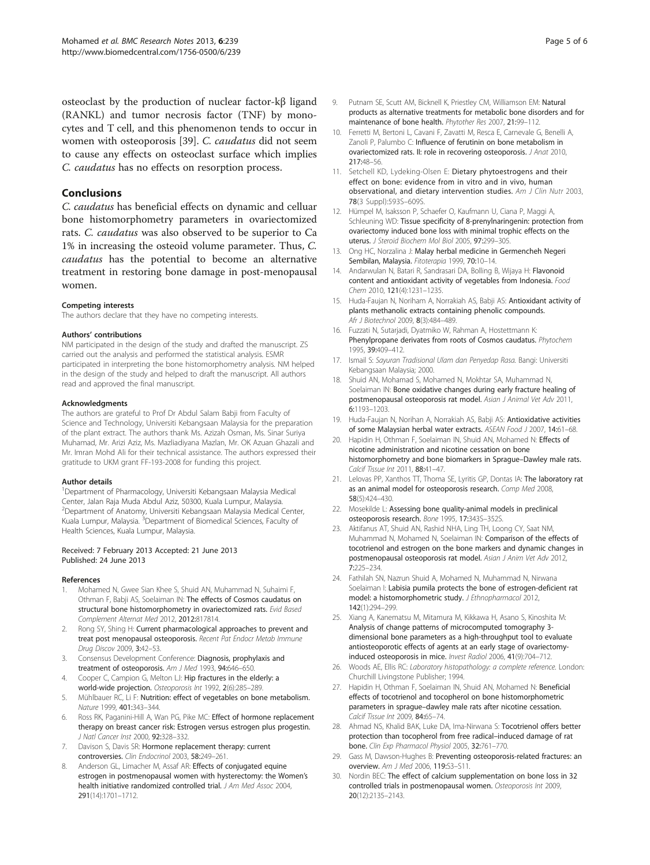<span id="page-4-0"></span>osteoclast by the production of nuclear factor-kβ ligand (RANKL) and tumor necrosis factor (TNF) by monocytes and T cell, and this phenomenon tends to occur in women with osteoporosis [\[39](#page-5-0)]. C. caudatus did not seem to cause any effects on osteoclast surface which implies C. caudatus has no effects on resorption process.

#### Conclusions

C. caudatus has beneficial effects on dynamic and celluar bone histomorphometry parameters in ovariectomized rats. C. caudatus was also observed to be superior to Ca 1% in increasing the osteoid volume parameter. Thus, C. caudatus has the potential to become an alternative treatment in restoring bone damage in post-menopausal women.

#### Competing interests

The authors declare that they have no competing interests.

#### Authors' contributions

NM participated in the design of the study and drafted the manuscript. ZS carried out the analysis and performed the statistical analysis. ESMR participated in interpreting the bone histomorphometry analysis. NM helped in the design of the study and helped to draft the manuscript. All authors read and approved the final manuscript.

#### Acknowledgments

The authors are grateful to Prof Dr Abdul Salam Babji from Faculty of Science and Technology, Universiti Kebangsaan Malaysia for the preparation of the plant extract. The authors thank Ms. Azizah Osman, Ms. Sinar Suriya Muhamad, Mr. Arizi Aziz, Ms. Mazliadiyana Mazlan, Mr. OK Azuan Ghazali and Mr. Imran Mohd Ali for their technical assistance. The authors expressed their gratitude to UKM grant FF-193-2008 for funding this project.

#### Author details

1 Department of Pharmacology, Universiti Kebangsaan Malaysia Medical Center, Jalan Raja Muda Abdul Aziz, 50300, Kuala Lumpur, Malaysia. 2 Department of Anatomy, Universiti Kebangsaan Malaysia Medical Center, Kuala Lumpur, Malaysia. <sup>3</sup>Department of Biomedical Sciences, Faculty of Health Sciences, Kuala Lumpur, Malaysia.

#### Received: 7 February 2013 Accepted: 21 June 2013 Published: 24 June 2013

#### References

- 1. Mohamed N, Gwee Sian Khee S, Shuid AN, Muhammad N, Suhaimi F, Othman F, Babji AS, Soelaiman IN: The effects of Cosmos caudatus on structural bone histomorphometry in ovariectomized rats. Evid Based Complement Alternat Med 2012, 2012:817814.
- 2. Rong SY, Shing H: Current pharmacological approaches to prevent and treat post menopausal osteoporosis. Recent Pat Endocr Metab Immune Drug Discov 2009, 3:42–53.
- 3. Consensus Development Conference: Diagnosis, prophylaxis and treatment of osteoporosis. Am J Med 1993, 94:646–650.
- 4. Cooper C, Campion G, Melton LJ: Hip fractures in the elderly: a world-wide projection. Osteoporosis Int 1992, 2(6):285–289.
- Mühlbauer RC, Li F: Nutrition: effect of vegetables on bone metabolism. Nature 1999, 401:343–344.
- 6. Ross RK, Paganini-Hill A, Wan PG, Pike MC: Effect of hormone replacement therapy on breast cancer risk: Estrogen versus estrogen plus progestin. J Natl Cancer Inst 2000, 92:328–332.
- 7. Davison S, Davis SR: Hormone replacement therapy: current controversies. Clin Endocrinol 2003, 58:249–261.
- Anderson GL, Limacher M, Assaf AR: Effects of conjugated equine estrogen in postmenopausal women with hysterectomy: the Women's health initiative randomized controlled trial. J Am Med Assoc 2004, 291(14):1701–1712.
- Putnam SE, Scutt AM, Bicknell K, Priestley CM, Williamson EM: Natural products as alternative treatments for metabolic bone disorders and for maintenance of bone health. Phytother Res 2007, 21:99–112.
- 10. Ferretti M, Bertoni L, Cavani F, Zavatti M, Resca E, Carnevale G, Benelli A, Zanoli P, Palumbo C: Influence of ferutinin on bone metabolism in ovariectomized rats. II: role in recovering osteoporosis. J Anat 2010, 217:48–56.
- 11. Setchell KD, Lydeking-Olsen E: Dietary phytoestrogens and their effect on bone: evidence from in vitro and in vivo, human observational, and dietary intervention studies. Am J Clin Nutr 2003, 78(3 Suppl):593S–609S.
- 12. Hümpel M, Isaksson P, Schaefer O, Kaufmann U, Ciana P, Maggi A, Schleuning WD: Tissue specificity of 8-prenylnaringenin: protection from ovariectomy induced bone loss with minimal trophic effects on the uterus. J Steroid Biochem Mol Biol 2005, 97:299–305.
- 13. Ong HC, Norzalina J: Malay herbal medicine in Germencheh Negeri Sembilan, Malaysia. Fitoterapia 1999, 70:10–14.
- 14. Andarwulan N, Batari R, Sandrasari DA, Bolling B, Wijaya H: Flavonoid content and antioxidant activity of vegetables from Indonesia. Food Chem 2010, 121(4):1231–1235.
- 15. Huda-Faujan N, Noriham A, Norrakiah AS, Babji AS: Antioxidant activity of plants methanolic extracts containing phenolic compounds. Afr J Biotechnol 2009, 8(3):484–489.
- 16. Fuzzati N, Sutarjadi, Dyatmiko W, Rahman A, Hostettmann K: Phenylpropane derivates from roots of Cosmos caudatus. Phytochem 1995, 39:409–412.
- 17. Ismail S: Sayuran Tradisional Ulam dan Penyedap Rasa. Bangi: Universiti Kebangsaan Malaysia; 2000.
- 18. Shuid AN, Mohamad S, Mohamed N, Mokhtar SA, Muhammad N, Soelaiman IN: Bone oxidative changes during early fracture healing of postmenopausal osteoporosis rat model. Asian J Animal Vet Adv 2011, 6:1193–1203.
- 19. Huda-Faujan N, Norihan A, Norrakiah AS, Babji AS: Antioxidative activities of some Malaysian herbal water extracts. ASEAN Food J 2007, 14:61–68.
- 20. Hapidin H, Othman F, Soelaiman IN, Shuid AN, Mohamed N: Effects of nicotine administration and nicotine cessation on bone histomorphometry and bone biomarkers in Sprague–Dawley male rats. Calcif Tissue Int 2011, 88:41–47.
- 21. Lelovas PP, Xanthos TT, Thoma SE, Lyritis GP, Dontas IA: The laboratory rat as an animal model for osteoporosis research. Comp Med 2008, 58(5):424–430.
- 22. Mosekilde L: Assessing bone quality-animal models in preclinical osteoporosis research. Bone 1995, 17:343S–352S.
- 23. Aktifanus AT, Shuid AN, Rashid NHA, Ling TH, Loong CY, Saat NM, Muhammad N, Mohamed N, Soelaiman IN: Comparison of the effects of tocotrienol and estrogen on the bone markers and dynamic changes in postmenopausal osteoporosis rat model. Asian J Anim Vet Adv 2012, 7:225–234.
- 24. Fathilah SN, Nazrun Shuid A, Mohamed N, Muhammad N, Nirwana Soelaiman I: Labisia pumila protects the bone of estrogen-deficient rat model: a histomorphometric study. J Ethnopharmacol 2012, 142(1):294–299.
- 25. Xiang A, Kanematsu M, Mitamura M, Kikkawa H, Asano S, Kinoshita M: Analysis of change patterns of microcomputed tomography 3 dimensional bone parameters as a high-throughput tool to evaluate antiosteoporotic effects of agents at an early stage of ovariectomyinduced osteoporosis in mice. Invest Radiol 2006, 41(9):704–712.
- 26. Woods AE, Ellis RC: Laboratory histopathology: a complete reference. London: Churchill Livingstone Publisher; 1994.
- 27. Hapidin H, Othman F, Soelaiman IN, Shuid AN, Mohamed N: Beneficial effects of tocotrienol and tocopherol on bone histomorphometric parameters in sprague–dawley male rats after nicotine cessation. Calcif Tissue Int 2009, 84:65–74.
- 28. Ahmad NS, Khalid BAK, Luke DA, Ima-Nirwana S: Tocotrienol offers better protection than tocopherol from free radical–induced damage of rat bone. Clin Exp Pharmacol Physiol 2005, 32:761–770.
- 29. Gass M, Dawson-Hughes B: Preventing osteoporosis-related fractures: an overview. Am J Med 2006, 119:S3–S11.
- 30. Nordin BEC: The effect of calcium supplementation on bone loss in 32 controlled trials in postmenopausal women. Osteoporosis Int 2009, 20(12):2135–2143.